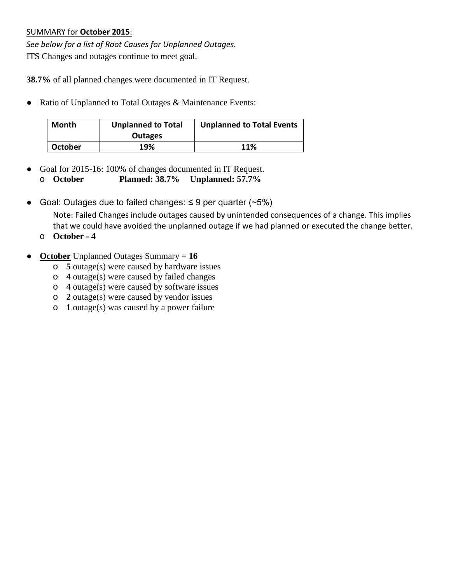## SUMMARY for **October 2015**:

*See below for a list of Root Causes for Unplanned Outages.* ITS Changes and outages continue to meet goal.

**38.7%** of all planned changes were documented in IT Request.

● Ratio of Unplanned to Total Outages & Maintenance Events:

| <b>Month</b> | <b>Unplanned to Total</b><br><b>Outages</b> | <b>Unplanned to Total Events</b> |  |  |  |
|--------------|---------------------------------------------|----------------------------------|--|--|--|
| October      | 19%                                         | 11%                              |  |  |  |

- Goal for 2015-16: 100% of changes documented in IT Request. o **October Planned: 38.7% Unplanned: 57.7%**
- Goal: Outages due to failed changes:  $\leq$  9 per quarter (~5%)

Note: Failed Changes include outages caused by unintended consequences of a change. This implies that we could have avoided the unplanned outage if we had planned or executed the change better.

- o **October - 4**
- **October** Unplanned Outages Summary = **16**
	- o **5** outage(s) were caused by hardware issues
	- o **4** outage(s) were caused by failed changes
	- o **4** outage(s) were caused by software issues
	- o **2** outage(s) were caused by vendor issues
	- o **1** outage(s) was caused by a power failure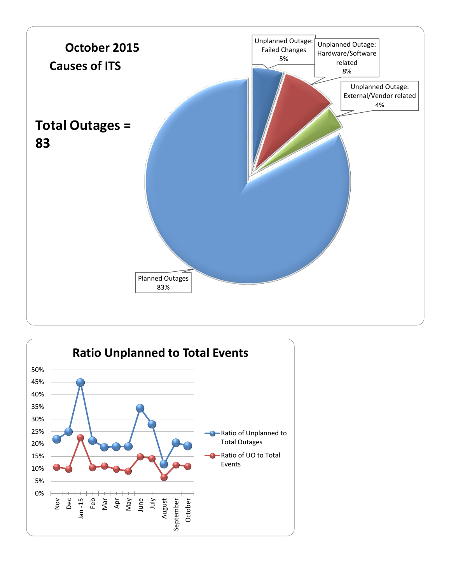